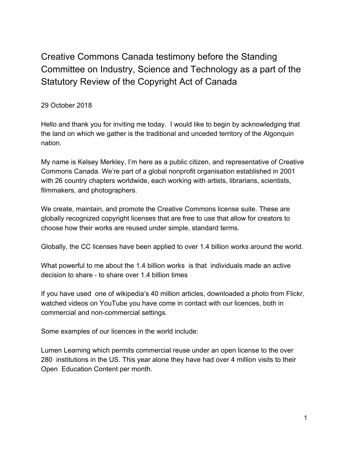Creative Commons Canada testimony before the Standing Committee on Industry, Science and Technology as a part of the Statutory Review of the Copyright Act of Canada

29 October 2018

Hello and thank you for inviting me today. I would like to begin by acknowledging that the land on which we gather is the traditional and unceded territory of the Algonquin nation.

My name is Kelsey Merkley, I'm here as a public citizen, and representative of Creative Commons Canada. We're part of a global nonprofit organisation established in 2001 with 26 country chapters worldwide, each working with artists, librarians, scientists, filmmakers, and photographers.

We create, maintain, and promote the Creative Commons license suite. These are globally recognized copyright licenses that are free to use that allow for creators to choose how their works are reused under simple, standard terms.

Globally, the CC licenses have been applied to over 1.4 billion works around the world.

What powerful to me about the 1.4 billion works is that individuals made an active decision to share - to share over 1.4 billion times

If you have used one of wikipedia's 40 million articles, downloaded a photo from Flickr, watched videos on YouTube you have come in contact with our licences, both in commercial and non-commercial settings.

Some examples of our licences in the world include:

Lumen Learning which permits commercial reuse under an open license to the over 280 institutions in the US. This year alone they have had over 4 million visits to their Open Education Content per month.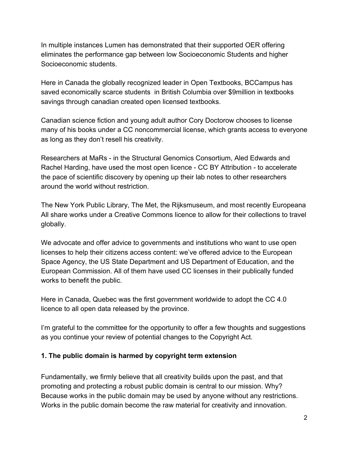In multiple instances Lumen has demonstrated that their supported OER offering eliminates the performance gap between low Socioeconomic Students and higher Socioeconomic students.

Here in Canada the globally recognized leader in Open Textbooks, BCCampus has saved economically scarce students in British Columbia over \$9million in textbooks savings through canadian created open licensed textbooks.

Canadian science fiction and young adult author Cory Doctorow chooses to license many of his books under a CC noncommercial license, which grants access to everyone as long as they don't resell his creativity.

Researchers at MaRs - in the Structural Genomics Consortium, Aled Edwards and Rachel Harding, have used the most open licence - CC BY Attribution - to accelerate the pace of scientific discovery by opening up their lab notes to other researchers around the world without restriction.

The New York Public Library, The Met, the Rijksmuseum, and most recently Europeana All share works under a Creative Commons licence to allow for their collections to travel globally.

We advocate and offer advice to governments and institutions who want to use open licenses to help their citizens access content: we've offered advice to the European Space Agency, the US State Department and US Department of Education, and the European Commission. All of them have used CC licenses in their publically funded works to benefit the public.

Here in Canada, Quebec was the first government worldwide to adopt the CC 4.0 licence to all open data released by the province.

I'm grateful to the committee for the opportunity to offer a few thoughts and suggestions as you continue your review of potential changes to the Copyright Act.

#### **1. The public domain is harmed by copyright term extension**

Fundamentally, we firmly believe that all creativity builds upon the past, and that promoting and protecting a robust public domain is central to our mission. Why? Because works in the public domain may be used by anyone without any restrictions. Works in the public domain become the raw material for creativity and innovation.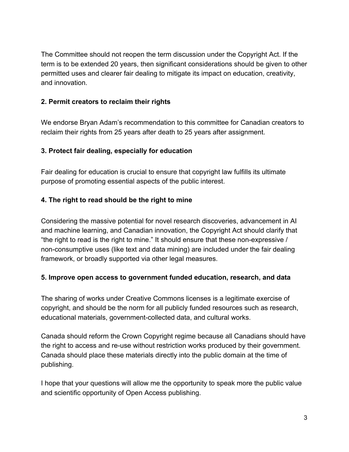The Committee should not reopen the term discussion under the Copyright Act. If the term is to be extended 20 years, then significant considerations should be given to other permitted uses and clearer fair dealing to mitigate its impact on education, creativity, and innovation.

### **2. Permit creators to reclaim their rights**

We endorse Bryan Adam's recommendation to this committee for Canadian creators to reclaim their rights from 25 years after death to 25 years after assignment.

### **3. Protect fair dealing, especially for education**

Fair dealing for education is crucial to ensure that copyright law fulfills its ultimate purpose of promoting essential aspects of the public interest.

# **4. The right to read should be the right to mine**

Considering the massive potential for novel research discoveries, advancement in AI and machine learning, and Canadian innovation, the Copyright Act should clarify that "the right to read is the right to mine." It should ensure that these non-expressive / non-consumptive uses (like text and data mining) are included under the fair dealing framework, or broadly supported via other legal measures.

# **5. Improve open access to government funded education, research, and data**

The sharing of works under Creative Commons licenses is a legitimate exercise of copyright, and should be the norm for all publicly funded resources such as research, educational materials, government-collected data, and cultural works.

Canada should reform the Crown Copyright regime because all Canadians should have the right to access and re-use without restriction works produced by their government. Canada should place these materials directly into the public domain at the time of publishing.

I hope that your questions will allow me the opportunity to speak more the public value and scientific opportunity of Open Access publishing.